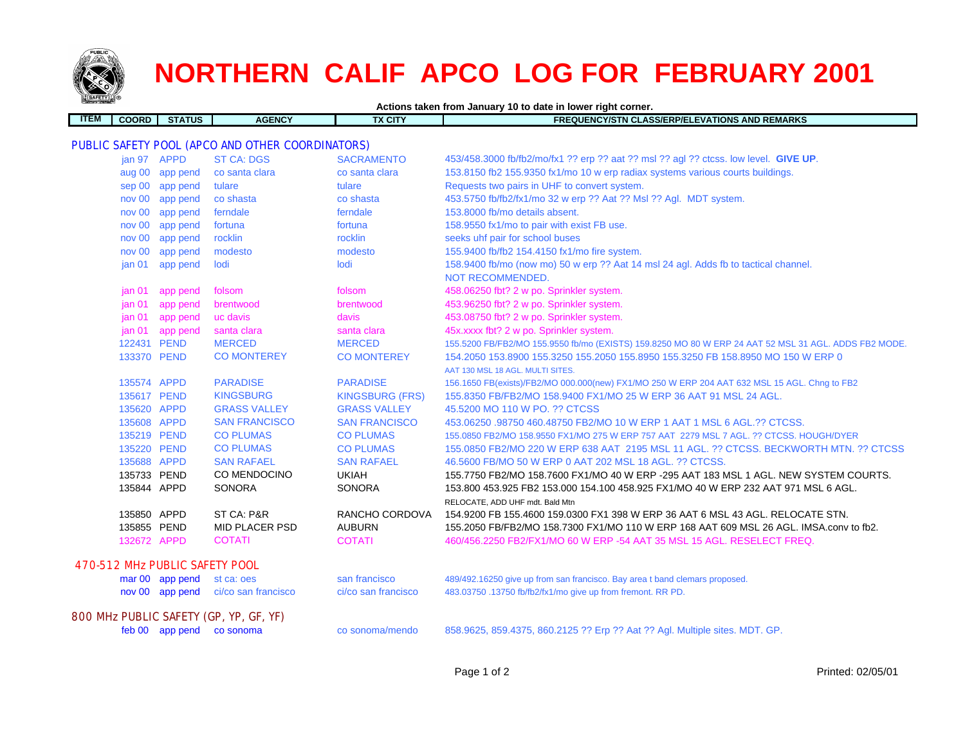

## **NORTHERN CALIF APCO LOG FOR FEBRUARY 2001**

| Actions taken from January 10 to date in lower right corner. |              |                 |                                                  |                        |                                                                                                      |
|--------------------------------------------------------------|--------------|-----------------|--------------------------------------------------|------------------------|------------------------------------------------------------------------------------------------------|
| <b>ITEM</b>                                                  | <b>COORD</b> | <b>STATUS</b>   | <b>AGENCY</b>                                    | <b>TX CITY</b>         | <b>FREQUENCY/STN CLASS/ERP/ELEVATIONS AND REMARKS</b>                                                |
|                                                              |              |                 |                                                  |                        |                                                                                                      |
|                                                              |              |                 | PUBLIC SAFETY POOL (APCO AND OTHER COORDINATORS) |                        |                                                                                                      |
|                                                              | jan 97 APPD  |                 | <b>ST CA: DGS</b>                                | <b>SACRAMENTO</b>      | 453/458.3000 fb/fb2/mo/fx1 ?? erp ?? aat ?? msl ?? agl ?? ctcss. low level. GIVE UP.                 |
|                                                              |              | aug 00 app pend | co santa clara                                   | co santa clara         | 153.8150 fb2 155.9350 fx1/mo 10 w erp radiax systems various courts buildings.                       |
|                                                              | sep 00       | app pend        | tulare                                           | tulare                 | Requests two pairs in UHF to convert system.                                                         |
|                                                              | nov 00       | app pend        | co shasta                                        | co shasta              | 453.5750 fb/fb2/fx1/mo 32 w erp ?? Aat ?? Msl ?? Agl. MDT system.                                    |
|                                                              | nov 00       | app pend        | ferndale                                         | ferndale               | 153,8000 fb/mo details absent.                                                                       |
|                                                              | nov 00       | app pend        | fortuna                                          | fortuna                | 158.9550 fx1/mo to pair with exist FB use.                                                           |
|                                                              | nov 00       | app pend        | rocklin                                          | rocklin                | seeks uhf pair for school buses                                                                      |
|                                                              | nov 00       | app pend        | modesto                                          | modesto                | 155.9400 fb/fb2 154.4150 fx1/mo fire system.                                                         |
|                                                              | jan 01       | app pend        | lodi                                             | lodi                   | 158.9400 fb/mo (now mo) 50 w erp ?? Aat 14 msl 24 agl. Adds fb to tactical channel.                  |
|                                                              |              |                 |                                                  |                        | <b>NOT RECOMMENDED.</b>                                                                              |
|                                                              | jan 01       | app pend        | folsom                                           | folsom                 | 458.06250 fbt? 2 w po. Sprinkler system.                                                             |
|                                                              | ian 01       | app pend        | brentwood                                        | brentwood              | 453.96250 fbt? 2 w po. Sprinkler system.                                                             |
|                                                              | jan 01       | app pend        | uc davis                                         | davis                  | 453.08750 fbt? 2 w po. Sprinkler system.                                                             |
|                                                              | jan 01       | app pend        | santa clara                                      | santa clara            | 45x.xxxx fbt? 2 w po. Sprinkler system.                                                              |
|                                                              | 122431 PEND  |                 | <b>MERCED</b>                                    | <b>MERCED</b>          | 155.5200 FB/FB2/MO 155.9550 fb/mo (EXISTS) 159.8250 MO 80 W ERP 24 AAT 52 MSL 31 AGL. ADDS FB2 MODE. |
|                                                              | 133370 PEND  |                 | <b>CO MONTEREY</b>                               | <b>CO MONTEREY</b>     | 154,2050 153,8900 155,3250 155,2050 155,8950 155,3250 FB 158,8950 MO 150 W ERP 0                     |
|                                                              |              |                 |                                                  |                        | AAT 130 MSL 18 AGL, MULTI SITES.                                                                     |
|                                                              | 135574 APPD  |                 | <b>PARADISE</b>                                  | <b>PARADISE</b>        | 156.1650 FB(exists)/FB2/MO 000.000(new) FX1/MO 250 W ERP 204 AAT 632 MSL 15 AGL. Chng to FB2         |
|                                                              | 135617 PEND  |                 | <b>KINGSBURG</b>                                 | <b>KINGSBURG (FRS)</b> | 155.8350 FB/FB2/MO 158.9400 FX1/MO 25 W ERP 36 AAT 91 MSL 24 AGL.                                    |
|                                                              | 135620 APPD  |                 | <b>GRASS VALLEY</b>                              | <b>GRASS VALLEY</b>    | 45.5200 MO 110 W PO. ?? CTCSS                                                                        |
|                                                              | 135608 APPD  |                 | <b>SAN FRANCISCO</b>                             | <b>SAN FRANCISCO</b>   | 453.06250.98750 460.48750 FB2/MO 10 W ERP 1 AAT 1 MSL 6 AGL.?? CTCSS.                                |
|                                                              | 135219 PEND  |                 | <b>CO PLUMAS</b>                                 | <b>CO PLUMAS</b>       | 155,0850 FB2/MO 158,9550 FX1/MO 275 W ERP 757 AAT 2279 MSL 7 AGL, ?? CTCSS, HOUGH/DYER               |
|                                                              | 135220 PEND  |                 | <b>CO PLUMAS</b>                                 | <b>CO PLUMAS</b>       | 155,0850 FB2/MO 220 W ERP 638 AAT 2195 MSL 11 AGL, ?? CTCSS, BECKWORTH MTN, ?? CTCSS                 |
|                                                              | 135688 APPD  |                 | <b>SAN RAFAEL</b>                                | <b>SAN RAFAEL</b>      | 46.5600 FB/MO 50 W ERP 0 AAT 202 MSL 18 AGL. ?? CTCSS.                                               |
|                                                              | 135733 PEND  |                 | CO MENDOCINO                                     | <b>UKIAH</b>           | 155,7750 FB2/MO 158,7600 FX1/MO 40 W ERP -295 AAT 183 MSL 1 AGL, NEW SYSTEM COURTS.                  |
|                                                              | 135844 APPD  |                 | <b>SONORA</b>                                    | <b>SONORA</b>          | 153.800 453.925 FB2 153.000 154.100 458.925 FX1/MO 40 W ERP 232 AAT 971 MSL 6 AGL.                   |
|                                                              |              |                 |                                                  |                        | RELOCATE, ADD UHF mdt. Bald Mtn                                                                      |
|                                                              | 135850 APPD  |                 | ST CA: P&R                                       | RANCHO CORDOVA         | 154,9200 FB 155,4600 159,0300 FX1 398 W ERP 36 AAT 6 MSL 43 AGL. RELOCATE STN.                       |
|                                                              | 135855 PEND  |                 | MID PLACER PSD                                   | <b>AUBURN</b>          | 155.2050 FB/FB2/MO 158.7300 FX1/MO 110 W ERP 168 AAT 609 MSL 26 AGL. IMSA.conv to fb2.               |
|                                                              | 132672 APPD  |                 | <b>COTATI</b>                                    | <b>COTATI</b>          | 460/456.2250 FB2/FX1/MO 60 W ERP -54 AAT 35 MSL 15 AGL. RESELECT FREQ.                               |
|                                                              |              |                 | 470-512 MHz PUBLIC SAFETY POOL                   |                        |                                                                                                      |
|                                                              |              | mar 00 app pend | st ca: oes                                       | san francisco          | 489/492.16250 give up from san francisco. Bay area t band clemars proposed.                          |
|                                                              |              | nov 00 app pend | ci/co san francisco                              | ci/co san francisco    | 483.03750 .13750 fb/fb2/fx1/mo give up from fremont. RR PD.                                          |
|                                                              |              |                 | 800 MHz PUBLIC SAFETY (GP, YP, GF, YF)           |                        |                                                                                                      |
|                                                              |              |                 | feb 00 app pend co sonoma                        | co sonoma/mendo        | 858.9625, 859.4375, 860.2125 ?? Erp ?? Aat ?? Agl. Multiple sites. MDT. GP.                          |